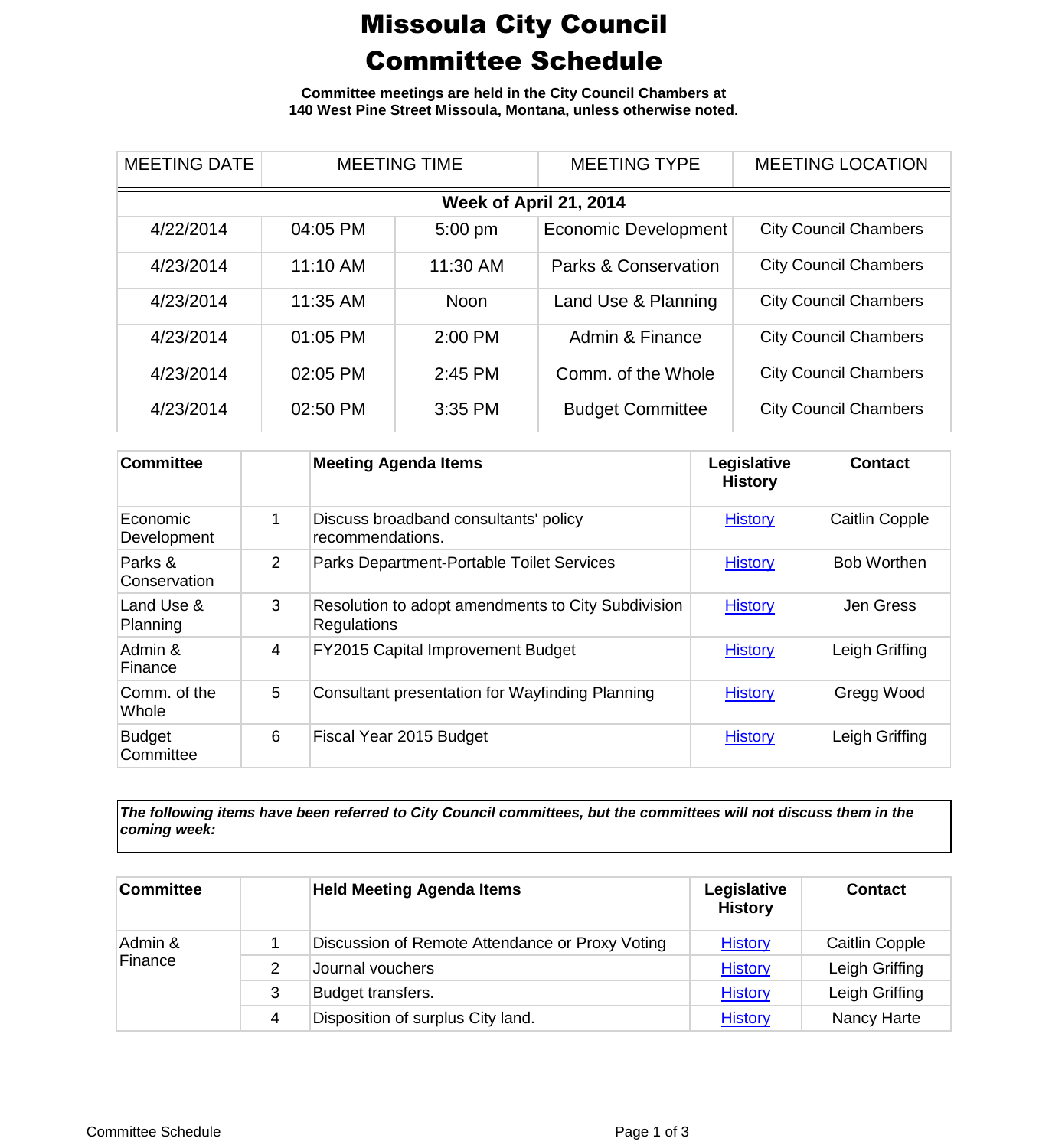## Missoula City Council Committee Schedule

**Committee meetings are held in the City Council Chambers at 140 West Pine Street Missoula, Montana, unless otherwise noted.**

| <b>MEETING DATE</b>    | <b>MEETING TIME</b> |             | <b>MEETING TYPE</b>         | <b>MEETING LOCATION</b>      |  |  |
|------------------------|---------------------|-------------|-----------------------------|------------------------------|--|--|
| Week of April 21, 2014 |                     |             |                             |                              |  |  |
| 4/22/2014              | 04:05 PM            | $5:00$ pm   | <b>Economic Development</b> | <b>City Council Chambers</b> |  |  |
| 4/23/2014              | 11:10 AM            | 11:30 AM    | Parks & Conservation        | <b>City Council Chambers</b> |  |  |
| 4/23/2014              | 11:35 AM            | <b>Noon</b> | Land Use & Planning         | <b>City Council Chambers</b> |  |  |
| 4/23/2014              | 01:05 PM            | 2:00 PM     | Admin & Finance             | <b>City Council Chambers</b> |  |  |
| 4/23/2014              | 02:05 PM            | 2:45 PM     | Comm. of the Whole          | <b>City Council Chambers</b> |  |  |
| 4/23/2014              | 02:50 PM            | 3:35 PM     | <b>Budget Committee</b>     | <b>City Council Chambers</b> |  |  |

| <b>Committee</b>           |                | <b>Meeting Agenda Items</b>                                       | Legislative<br><b>History</b> | <b>Contact</b>        |
|----------------------------|----------------|-------------------------------------------------------------------|-------------------------------|-----------------------|
| Economic<br>Development    |                | Discuss broadband consultants' policy<br>recommendations.         | <b>History</b>                | <b>Caitlin Copple</b> |
| Parks &<br>Conservation    | $\overline{2}$ | Parks Department-Portable Toilet Services                         | <b>History</b>                | <b>Bob Worthen</b>    |
| Land Use &<br>Planning     | 3              | Resolution to adopt amendments to City Subdivision<br>Regulations | <b>History</b>                | Jen Gress             |
| Admin &<br>Finance         | 4              | FY2015 Capital Improvement Budget                                 | <b>History</b>                | Leigh Griffing        |
| Comm. of the<br>Whole      | 5              | Consultant presentation for Wayfinding Planning                   | <b>History</b>                | Gregg Wood            |
| <b>Budget</b><br>Committee | 6              | Fiscal Year 2015 Budget                                           | <b>History</b>                | Leigh Griffing        |

*The following items have been referred to City Council committees, but the committees will not discuss them in the coming week:*

| <b>Committee</b>   |   | <b>Held Meeting Agenda Items</b>                | Legislative<br><b>History</b> | <b>Contact</b> |
|--------------------|---|-------------------------------------------------|-------------------------------|----------------|
| Admin &<br>Finance |   | Discussion of Remote Attendance or Proxy Voting | <b>History</b>                | Caitlin Copple |
|                    | 2 | Journal vouchers                                | <b>History</b>                | Leigh Griffing |
|                    | 3 | Budget transfers.                               | <b>History</b>                | Leigh Griffing |
|                    | 4 | Disposition of surplus City land.               | <b>History</b>                | Nancy Harte    |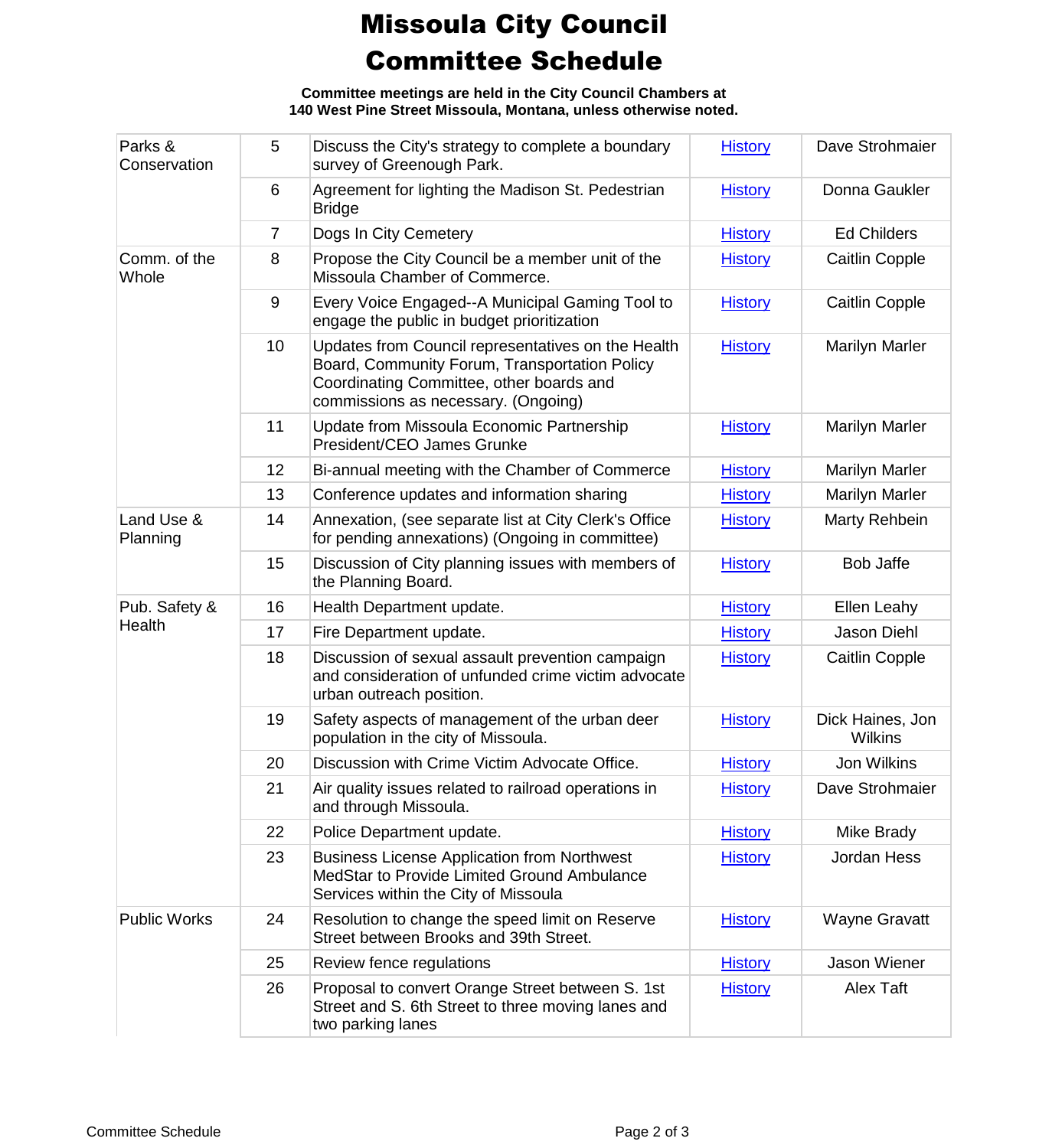## Missoula City Council Committee Schedule

**Committee meetings are held in the City Council Chambers at 140 West Pine Street Missoula, Montana, unless otherwise noted.**

| Parks &<br>Conservation | 5              | Discuss the City's strategy to complete a boundary<br>survey of Greenough Park.                                                                                                        | <b>History</b> | Dave Strohmaier                    |
|-------------------------|----------------|----------------------------------------------------------------------------------------------------------------------------------------------------------------------------------------|----------------|------------------------------------|
|                         | 6              | Agreement for lighting the Madison St. Pedestrian<br><b>Bridge</b>                                                                                                                     | <b>History</b> | Donna Gaukler                      |
|                         | $\overline{7}$ | Dogs In City Cemetery                                                                                                                                                                  | <b>History</b> | <b>Ed Childers</b>                 |
| Comm. of the<br>Whole   | 8              | Propose the City Council be a member unit of the<br>Missoula Chamber of Commerce.                                                                                                      | <b>History</b> | <b>Caitlin Copple</b>              |
|                         | 9              | Every Voice Engaged--A Municipal Gaming Tool to<br>engage the public in budget prioritization                                                                                          | <b>History</b> | Caitlin Copple                     |
|                         | 10             | Updates from Council representatives on the Health<br>Board, Community Forum, Transportation Policy<br>Coordinating Committee, other boards and<br>commissions as necessary. (Ongoing) | <b>History</b> | <b>Marilyn Marler</b>              |
|                         | 11             | Update from Missoula Economic Partnership<br>President/CEO James Grunke                                                                                                                | <b>History</b> | <b>Marilyn Marler</b>              |
|                         | 12             | Bi-annual meeting with the Chamber of Commerce                                                                                                                                         | <b>History</b> | <b>Marilyn Marler</b>              |
|                         | 13             | Conference updates and information sharing                                                                                                                                             | <b>History</b> | <b>Marilyn Marler</b>              |
| Land Use &<br>Planning  | 14             | Annexation, (see separate list at City Clerk's Office<br>for pending annexations) (Ongoing in committee)                                                                               | <b>History</b> | Marty Rehbein                      |
|                         | 15             | Discussion of City planning issues with members of<br>the Planning Board.                                                                                                              | <b>History</b> | <b>Bob Jaffe</b>                   |
| Pub. Safety &           | 16             | Health Department update.                                                                                                                                                              | <b>History</b> | Ellen Leahy                        |
| Health                  | 17             | Fire Department update.                                                                                                                                                                | <b>History</b> | Jason Diehl                        |
|                         | 18             | Discussion of sexual assault prevention campaign<br>and consideration of unfunded crime victim advocate<br>urban outreach position.                                                    | <b>History</b> | Caitlin Copple                     |
|                         | 19             | Safety aspects of management of the urban deer<br>population in the city of Missoula.                                                                                                  | <b>History</b> | Dick Haines, Jon<br><b>Wilkins</b> |
|                         | 20             | Discussion with Crime Victim Advocate Office.                                                                                                                                          | <b>History</b> | Jon Wilkins                        |
|                         | 21             | Air quality issues related to railroad operations in<br>and through Missoula.                                                                                                          | <b>History</b> | Dave Strohmaier                    |
|                         | 22             | Police Department update.                                                                                                                                                              | <b>History</b> | Mike Brady                         |
|                         | 23             | <b>Business License Application from Northwest</b><br>MedStar to Provide Limited Ground Ambulance<br>Services within the City of Missoula                                              | <b>History</b> | Jordan Hess                        |
| <b>Public Works</b>     | 24             | Resolution to change the speed limit on Reserve<br>Street between Brooks and 39th Street.                                                                                              | <b>History</b> | <b>Wayne Gravatt</b>               |
|                         | 25             | Review fence regulations                                                                                                                                                               | <b>History</b> | Jason Wiener                       |
|                         | 26             | Proposal to convert Orange Street between S. 1st<br>Street and S. 6th Street to three moving lanes and<br>two parking lanes                                                            | <b>History</b> | Alex Taft                          |